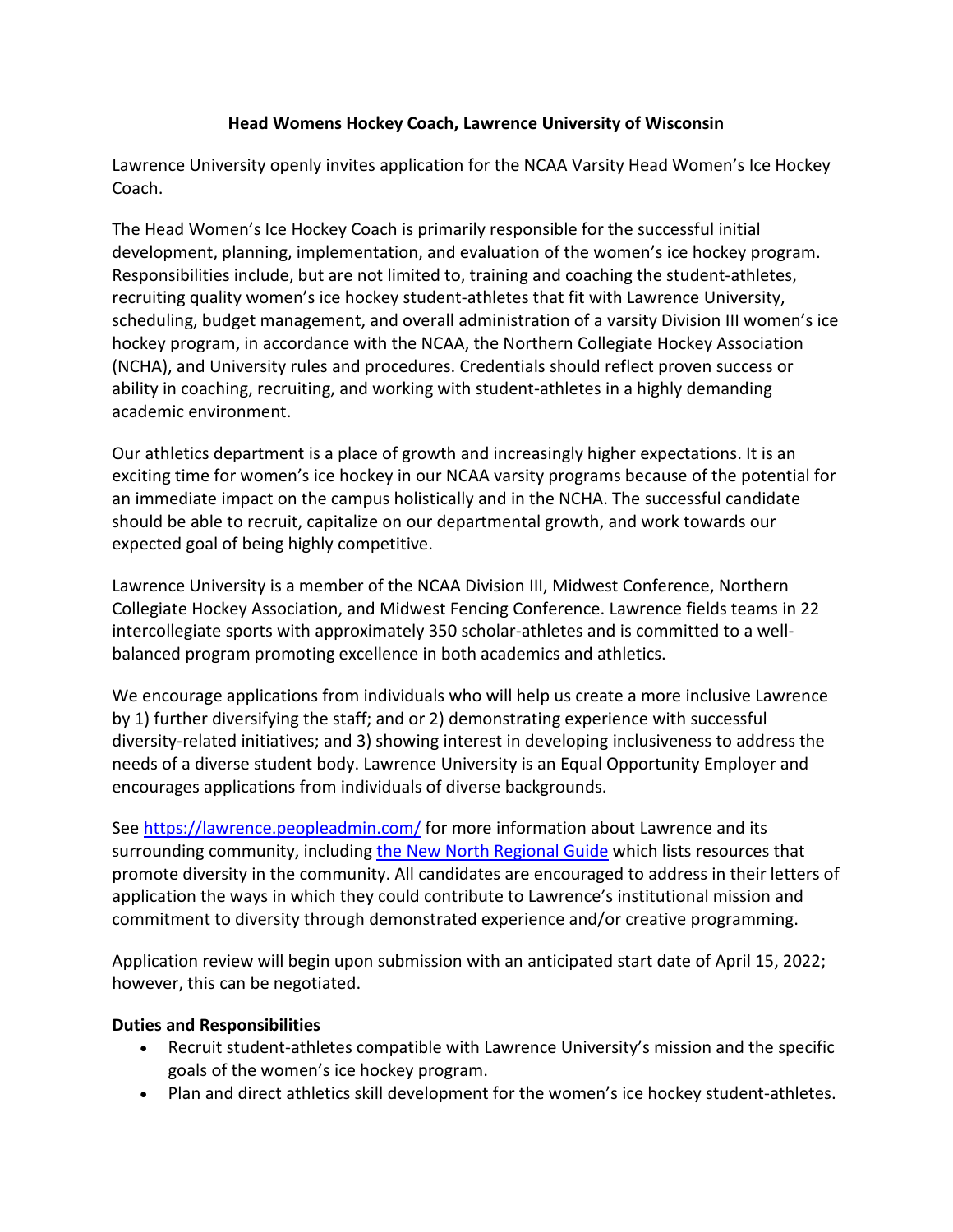# **Head Womens Hockey Coach, Lawrence University of Wisconsin**

Lawrence University openly invites application for the NCAA Varsity Head Women's Ice Hockey Coach.

The Head Women's Ice Hockey Coach is primarily responsible for the successful initial development, planning, implementation, and evaluation of the women's ice hockey program. Responsibilities include, but are not limited to, training and coaching the student-athletes, recruiting quality women's ice hockey student-athletes that fit with Lawrence University, scheduling, budget management, and overall administration of a varsity Division III women's ice hockey program, in accordance with the NCAA, the Northern Collegiate Hockey Association (NCHA), and University rules and procedures. Credentials should reflect proven success or ability in coaching, recruiting, and working with student-athletes in a highly demanding academic environment.

Our athletics department is a place of growth and increasingly higher expectations. It is an exciting time for women's ice hockey in our NCAA varsity programs because of the potential for an immediate impact on the campus holistically and in the NCHA. The successful candidate should be able to recruit, capitalize on our departmental growth, and work towards our expected goal of being highly competitive.

Lawrence University is a member of the NCAA Division III, Midwest Conference, Northern Collegiate Hockey Association, and Midwest Fencing Conference. Lawrence fields teams in 22 intercollegiate sports with approximately 350 scholar-athletes and is committed to a wellbalanced program promoting excellence in both academics and athletics.

We encourage applications from individuals who will help us create a more inclusive Lawrence by 1) further diversifying the staff; and or 2) demonstrating experience with successful diversity-related initiatives; and 3) showing interest in developing inclusiveness to address the needs of a diverse student body. Lawrence University is an Equal Opportunity Employer and encourages applications from individuals of diverse backgrounds.

See<https://lawrence.peopleadmin.com/> for more information about Lawrence and its surrounding community, including [the New North Regional Guide](https://www.thenewnorth.com/) which lists resources that promote diversity in the community. All candidates are encouraged to address in their letters of application the ways in which they could contribute to Lawrence's institutional mission and commitment to diversity through demonstrated experience and/or creative programming.

Application review will begin upon submission with an anticipated start date of April 15, 2022; however, this can be negotiated.

# **Duties and Responsibilities**

- Recruit student-athletes compatible with Lawrence University's mission and the specific goals of the women's ice hockey program.
- Plan and direct athletics skill development for the women's ice hockey student-athletes.